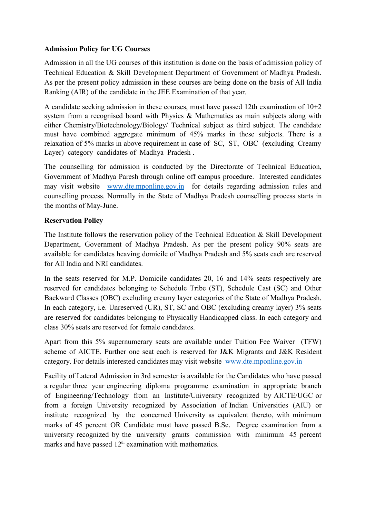## Admission Policy for UG Courses

Admission in all the UG courses of this institution is done on the basis of admission policy of Technical Education & Skill Development Department of Government of Madhya Pradesh. As per the present policy admission in these courses are being done on the basis of All India Ranking (AIR) of the candidate in the JEE Examination of that year.

A candidate seeking admission in these courses, must have passed 12th examination of  $10+2$ system from a recognised board with Physics & Mathematics as main subjects along with either Chemistry/Biotechnology/Biology/ Technical subject as third subject. The candidate must have combined aggregate minimum of 45% marks in these subjects. There is a relaxation of 5% marks in above requirement in case of SC, ST, OBC (excluding Creamy Layer) category candidates of Madhya Pradesh .

The counselling for admission is conducted by the Directorate of Technical Education, Government of Madhya Paresh through online off campus procedure. Interested candidates may visit website www.dte.mponline.gov.in for details regarding admission rules and counselling process. Normally in the State of Madhya Pradesh counselling process starts in the months of May-June.

## Reservation Policy

The Institute follows the reservation policy of the Technical Education & Skill Development Department, Government of Madhya Pradesh. As per the present policy 90% seats are available for candidates heaving domicile of Madhya Pradesh and 5% seats each are reserved for All India and NRI candidates.

In the seats reserved for M.P. Domicile candidates 20, 16 and 14% seats respectively are reserved for candidates belonging to Schedule Tribe (ST), Schedule Cast (SC) and Other Backward Classes (OBC) excluding creamy layer categories of the State of Madhya Pradesh. In each category, i.e. Unreserved (UR), ST, SC and OBC (excluding creamy layer) 3% seats are reserved for candidates belonging to Physically Handicapped class. In each category and class 30% seats are reserved for female candidates.

Apart from this 5% supernumerary seats are available under Tuition Fee Waiver (TFW) scheme of AICTE. Further one seat each is reserved for J&K Migrants and J&K Resident category. For details interested candidates may visit website www.dte.mponline.gov.in

Facility of Lateral Admission in 3rd semester is available for the Candidates who have passed a regular three year engineering diploma programme examination in appropriate branch of Engineering/Technology from an Institute/University recognized by AICTE/UGC or from a foreign University recognized by Association of Indian Universities (AIU) or institute recognized by the concerned University as equivalent thereto, with minimum marks of 45 percent OR Candidate must have passed B.Sc. Degree examination from a university recognized by the university grants commission with minimum 45 percent marks and have passed  $12<sup>th</sup>$  examination with mathematics.